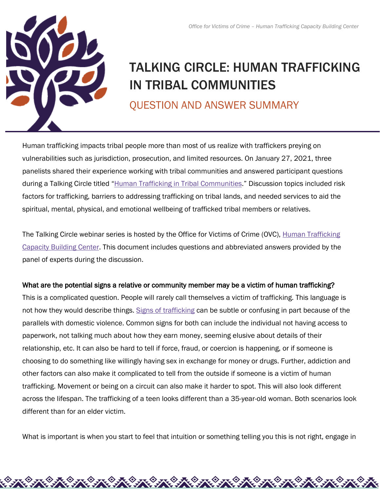

# TALKING CIRCLE: HUMAN TRAFFICKING IN TRIBAL COMMUNITIES

QUESTION AND ANSWER SUMMARY

Human trafficking impacts tribal people more than most of us realize with traffickers preying on vulnerabilities such as jurisdiction, prosecution, and limited resources. On January 27, 2021, three panelists shared their experience working with tribal communities and answered participant questions during a Talking Circle titled ["Human Trafficking in Tribal Communities.](https://htcbc.ovc.ojp.gov/media/video/611)" Discussion topics included risk factors for trafficking, barriers to addressing trafficking on tribal lands, and needed services to aid the spiritual, mental, physical, and emotional wellbeing of trafficked tribal members or relatives.

The Talking Circle webinar series is hosted by the Office for Victims of Crime (OVC), Human Trafficking [Capacity Building Center.](https://htcbc.ovc.ojp.gov/) This document includes questions and abbreviated answers provided by the panel of experts during the discussion.

### What are the potential signs a relative or community member may be a victim of human trafficking?

This is a complicated question. People will rarely call themselves a victim of trafficking. This language is not how they would describe things. [Signs of trafficking](https://htcbc.ovc.ojp.gov/library/publications/human-trafficking-indicators) can be subtle or confusing in part because of the parallels with domestic violence. Common signs for both can include the individual not having access to paperwork, not talking much about how they earn money, seeming elusive about details of their relationship, etc. It can also be hard to tell if force, fraud, or coercion is happening, or if someone is choosing to do something like willingly having sex in exchange for money or drugs. Further, addiction and other factors can also make it complicated to tell from the outside if someone is a victim of human trafficking. Movement or being on a circuit can also make it harder to spot. This will also look different across the lifespan. The trafficking of a teen looks different than a 35-year-old woman. Both scenarios look different than for an elder victim.

What is important is when you start to feel that intuition or something telling you this is not right, engage in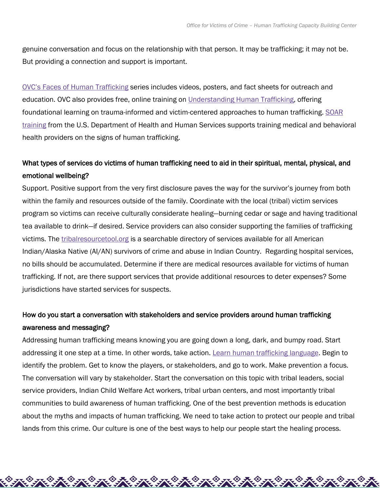genuine conversation and focus on the relationship with that person. It may be trafficking; it may not be. But providing a connection and support is important.

[OVC's Faces of Human Trafficking](https://ovc.ojp.gov/program/human-trafficking/faces-of-human-trafficking#:%7E:text=Faces%20of%20Human%20Trafficking%20OVC%20encourages%20local%20organizations,the%20cause%20of%20justice%20for%20victims%20of%20crime.) series includes videos, posters, and fact sheets for outreach and education. OVC also provides free, online training on [Understanding Human Trafficking,](https://www.ovcttac.gov/UnderstandingHumanTrafficking/index.cfm?nm=wbt&ns=ot&nt=ht) offering foundational learning on trauma-informed and victim-centered approaches to human trafficking. SOAR [training](https://nhttac.acf.hhs.gov/soar) from the U.S. Department of Health and Human Services supports training medical and behavioral health providers on the signs of human trafficking.

# What types of services do victims of human trafficking need to aid in their spiritual, mental, physical, and emotional wellbeing?

Support. Positive support from the very first disclosure paves the way for the survivor's journey from both within the family and resources outside of the family. Coordinate with the local (tribal) victim services program so victims can receive culturally considerate healing—burning cedar or sage and having traditional tea available to drink—if desired. Service providers can also consider supporting the families of trafficking victims. The [tribalresourcetool.org](https://tribalresourcetool.org/) is a searchable directory of services available for all American Indian/Alaska Native (AI/AN) survivors of crime and abuse in Indian Country. Regarding hospital services, no bills should be accumulated. Determine if there are medical resources available for victims of human trafficking. If not, are there support services that provide additional resources to deter expenses? Some jurisdictions have started services for suspects.

## How do you start a conversation with stakeholders and service providers around human trafficking awareness and messaging?

Addressing human trafficking means knowing you are going down a long, dark, and bumpy road. Start addressing it one step at a time. In other words, take action. [Learn human trafficking language.](https://nhttac.acf.hhs.gov/soar) Begin to identify the problem. Get to know the players, or stakeholders, and go to work. Make prevention a focus. The conversation will vary by stakeholder. Start the conversation on this topic with tribal leaders, social service providers, Indian Child Welfare Act workers, tribal urban centers, and most importantly tribal communities to build awareness of human trafficking. One of the best prevention methods is education about the myths and impacts of human trafficking. We need to take action to protect our people and tribal lands from this crime. Our culture is one of the best ways to help our people start the healing process.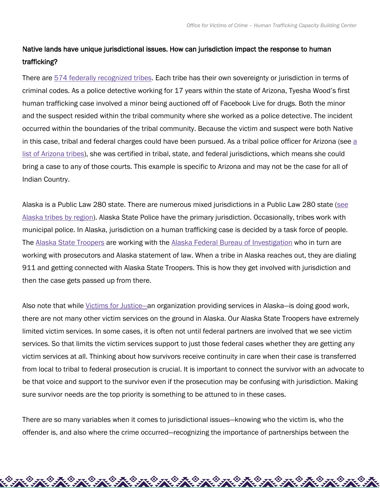# Native lands have unique jurisdictional issues. How can jurisdiction impact the response to human trafficking?

There are [574 federally recognized tribes.](https://www.federalregister.gov/documents/2020/01/30/2020-01707/indian-entities-recognized-by-and-eligible-to-receive-services-from-the-united-states-bureau-of) Each tribe has their own sovereignty or jurisdiction in terms of criminal codes. As a police detective working for 17 years within the state of Arizona, Tyesha Wood's first human trafficking case involved a minor being auctioned off of Facebook Live for drugs. Both the minor and the suspect resided within the tribal community where she worked as a police detective. The incident occurred within the boundaries of the tribal community. Because the victim and suspect were both Native in this case, tribal and federal charges could have been pursued. As [a](https://des.az.gov/about-des/tribal-relations/arizona-tribes-information) tribal police officer for Arizona (see a [list of Arizona tribes\)](https://des.az.gov/about-des/tribal-relations/arizona-tribes-information), she was certified in tribal, state, and federal jurisdictions, which means she could bring a case to any of those courts. This example is specific to Arizona and may not be the case for all of Indian Country.

Alaska is a Public Law 280 state. There are numerous mixed jurisdictions in a Public Law 280 state [\(see](https://www.nativefederation.org/2020/02/aktribes/)  [Alaska tribes by region\)](https://www.nativefederation.org/2020/02/aktribes/). Alaska State Police have the primary jurisdiction. Occasionally, tribes work with municipal police. In Alaska, jurisdiction on a human trafficking case is decided by a task force of people. The [Alaska State Troopers](https://dps.alaska.gov/AST/Contacts) are working with the [Alaska Federal Bureau of Investigation](https://www.fbi.gov/contact-us/field-offices/anchorage) who in turn are working with prosecutors and Alaska statement of law. When a tribe in Alaska reaches out, they are dialing 911 and getting connected with Alaska State Troopers. This is how they get involved with jurisdiction and then the case gets passed up from there.

Also note that while *Victims for Justice*—an organization providing services in Alaska—is doing good work, there are not many other victim services on the ground in Alaska. Our Alaska State Troopers have extremely limited victim services. In some cases, it is often not until federal partners are involved that we see victim services. So that limits the victim services support to just those federal cases whether they are getting any victim services at all. Thinking about how survivors receive continuity in care when their case is transferred from local to tribal to federal prosecution is crucial. It is important to connect the survivor with an advocate to be that voice and support to the survivor even if the prosecution may be confusing with jurisdiction. Making sure survivor needs are the top priority is something to be attuned to in these cases.

There are so many variables when it comes to jurisdictional issues—knowing who the victim is, who the offender is, and also where the crime occurred—recognizing the importance of partnerships between the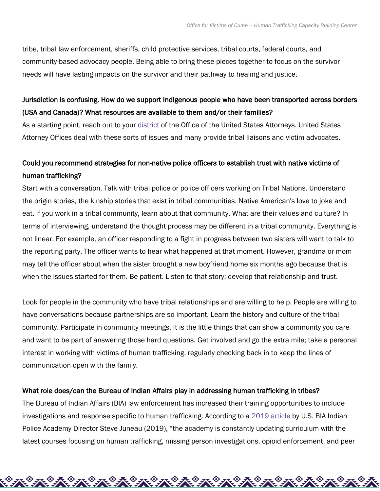tribe, tribal law enforcement, sheriffs, child protective services, tribal courts, federal courts, and community-based advocacy people. Being able to bring these pieces together to focus on the survivor needs will have lasting impacts on the survivor and their pathway to healing and justice.

### Jurisdiction is confusing. How do we support Indigenous people who have been transported across borders (USA and Canada)? What resources are available to them and/or their families?

As a starting point, reach out to your [district](https://www.justice.gov/usao/find-your-united-states-attorney) of the Office of the United States Attorneys. United States Attorney Offices deal with these sorts of issues and many provide tribal liaisons and victim advocates.

# Could you recommend strategies for non-native police officers to establish trust with native victims of human trafficking?

Start with a conversation. Talk with tribal police or police officers working on Tribal Nations. Understand the origin stories, the kinship stories that exist in tribal communities. Native American's love to joke and eat. If you work in a tribal community, learn about that community. What are their values and culture? In terms of interviewing, understand the thought process may be different in a tribal community. Everything is not linear. For example, an officer responding to a fight in progress between two sisters will want to talk to the reporting party. The officer wants to hear what happened at that moment. However, grandma or mom may tell the officer about when the sister brought a new boyfriend home six months ago because that is when the issues started for them. Be patient. Listen to that story; develop that relationship and trust.

Look for people in the community who have tribal relationships and are willing to help. People are willing to have conversations because partnerships are so important. Learn the history and culture of the tribal community. Participate in community meetings. It is the little things that can show a community you care and want to be part of answering those hard questions. Get involved and go the extra mile; take a personal interest in working with victims of human trafficking, regularly checking back in to keep the lines of communication open with the family.

#### What role does/can the Bureau of Indian Affairs play in addressing human trafficking in tribes?

The Bureau of Indian Affairs (BIA) law enforcement has increased their training opportunities to include investigations and response specific to human trafficking. According to a [2019 article](https://nij.ojp.gov/topics/articles/notes-field-snapshot-united-states-indian-policing-academy) by U.S. BIA Indian Police Academy Director Steve Juneau (2019), "the academy is constantly updating curriculum with the latest courses focusing on human trafficking, missing person investigations, opioid enforcement, and peer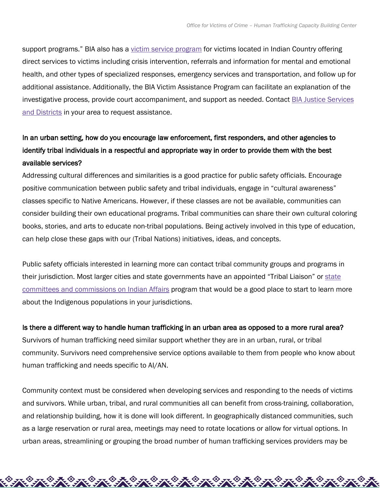support programs." BIA also has a <u>[victim service program](https://urldefense.com/v3/__https:/www.bia.gov/bia/ojs/victim-assistance__;!!May37g!fDE2AbOei6VO9T84hYnv31MpqHQQiqedIlVAnhM9WkaQ63xAwQ5Ts7ODh7uMSb6h$)</u> for victims located in Indian Country offering direct services to victims including crisis intervention, referrals and information for mental and emotional health, and other types of specialized responses, emergency services and transportation, and follow up for additional assistance. Additionally, the BIA Victim Assistance Program can facilitate an explanation of the investigative process, provide court accompaniment, and support as needed. Contact [BIA Justice Services](https://www.bia.gov/bia/ojs/contact-us)  [and Districts](https://www.bia.gov/bia/ojs/contact-us) in your area to request assistance.

# In an urban setting, how do you encourage law enforcement, first responders, and other agencies to identify tribal individuals in a respectful and appropriate way in order to provide them with the best available services?

Addressing cultural differences and similarities is a good practice for public safety officials. Encourage positive communication between public safety and tribal individuals, engage in "cultural awareness" classes specific to Native Americans. However, if these classes are not be available, communities can consider building their own educational programs. Tribal communities can share their own cultural coloring books, stories, and arts to educate non-tribal populations. Being actively involved in this type of education, can help close these gaps with our (Tribal Nations) initiatives, ideas, and concepts.

Public safety officials interested in learning more can contact tribal community groups and programs in their jurisdiction. Most larger cities and state governments have an appointed "Tribal Liaison" or [state](https://www.ncsl.org/research/state-tribal-institute/state-tribal-relations-committees-and-commissions.aspx)  [committees and commissions on Indian Affairs](https://www.ncsl.org/research/state-tribal-institute/state-tribal-relations-committees-and-commissions.aspx) program that would be a good place to start to learn more about the Indigenous populations in your jurisdictions.

Is there a different way to handle human trafficking in an urban area as opposed to a more rural area? Survivors of human trafficking need similar support whether they are in an urban, rural, or tribal community. Survivors need comprehensive service options available to them from people who know about human trafficking and needs specific to AI/AN.

Community context must be considered when developing services and responding to the needs of victims and survivors. While urban, tribal, and rural communities all can benefit from cross-training, collaboration, and relationship building, how it is done will look different. In geographically distanced communities, such as a large reservation or rural area, meetings may need to rotate locations or allow for virtual options. In urban areas, streamlining or grouping the broad number of human trafficking services providers may be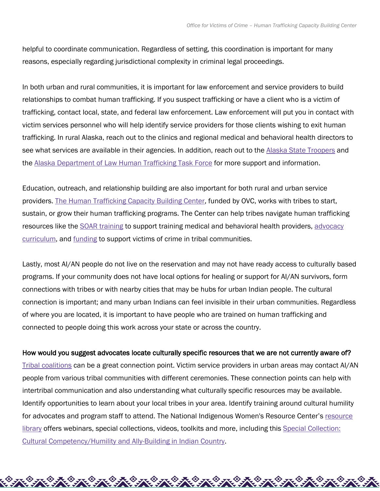helpful to coordinate communication. Regardless of setting, this coordination is important for many reasons, especially regarding jurisdictional complexity in criminal legal proceedings.

In both urban and rural communities, it is important for law enforcement and service providers to build relationships to combat human trafficking. If you suspect trafficking or have a client who is a victim of trafficking, contact local, state, and federal law enforcement. Law enforcement will put you in contact with victim services personnel who will help identify service providers for those clients wishing to exit human trafficking. In rural Alaska, reach out to the clinics and regional medical and behavioral health directors to see what services are available in their agencies. In addition, reach out to the [Alaska State Troopers](https://dps.alaska.gov/AST/Contacts) and the [Alaska Department of Law Human Trafficking Task Force](http://www.law.alaska.gov/press/public_notice/101712-TaskForce.html) for more support and information.

Education, outreach, and relationship building are also important for both rural and urban service providers. [The Human Trafficking Capacity Building Center,](https://htcbc.ovc.ojp.gov/tribes) funded by OVC, works with tribes to start, sustain, or grow their human trafficking programs. The Center can help tribes navigate human trafficking resources like the [SOAR training](https://nhttac.acf.hhs.gov/soar) to support training medical and behavioral health providers, [advocacy](https://www.home.tlpi.org/sex-trafficking)  [curriculum,](https://www.home.tlpi.org/sex-trafficking) and [funding](https://ovc.ojp.gov/program/tribal/tribal-victim-services-set-aside) to support victims of crime in tribal communities.

Lastly, most AI/AN people do not live on the reservation and may not have ready access to culturally based programs. If your community does not have local options for healing or support for AI/AN survivors, form connections with tribes or with nearby cities that may be hubs for urban Indian people. The cultural connection is important; and many urban Indians can feel invisible in their urban communities. Regardless of where you are located, it is important to have people who are trained on human trafficking and connected to people doing this work across your state or across the country.

#### How would you suggest advocates locate culturally specific resources that we are not currently aware of?

[Tribal coalitions](https://www.niwrc.org/tribal-coalitions) can be a great connection point. Victim service providers in urban areas may contact AI/AN people from various tribal communities with different ceremonies. These connection points can help with intertribal communication and also understanding what culturally specific resources may be available. Identify opportunities to learn about your local tribes in your area. Identify training around cultural humility for advocates and program staff to attend. The National Indigenous Women's Resource Center's resource [library](https://www.niwrc.org/resources) offers webinars, special collections, videos, toolkits and more, including this [Special Collection:](https://www.niwrc.org/resources/special-collection-cultural-competencyhumility-ally-building-indian-country)  [Cultural Competency/Humility and Ally-Building in Indian Country.](https://www.niwrc.org/resources/special-collection-cultural-competencyhumility-ally-building-indian-country)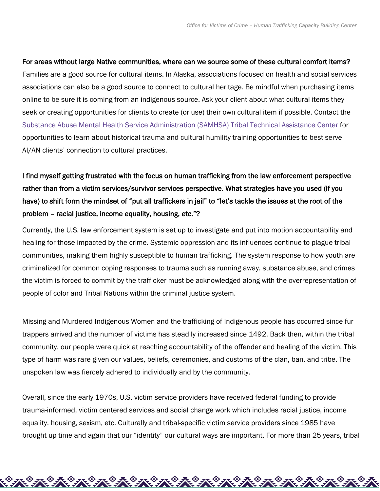For areas without large Native communities, where can we source some of these cultural comfort items? Families are a good source for cultural items. In Alaska, associations focused on health and social services associations can also be a good source to connect to cultural heritage. Be mindful when purchasing items online to be sure it is coming from an indigenous source. Ask your client about what cultural items they seek or creating opportunities for clients to create (or use) their own cultural item if possible. Contact the [Substance Abuse Mental Health Service Administration \(SAMHSA\) Tribal Technical Assistance Center](https://www.samhsa.gov/tribal-ttac/contact-us) for opportunities to learn about historical trauma and cultural humility training opportunities to best serve AI/AN clients' connection to cultural practices.

# I find myself getting frustrated with the focus on human trafficking from the law enforcement perspective rather than from a victim services/survivor services perspective. What strategies have you used (if you have) to shift form the mindset of "put all traffickers in jail" to "let's tackle the issues at the root of the problem – racial justice, income equality, housing, etc."?

Currently, the U.S. law enforcement system is set up to investigate and put into motion accountability and healing for those impacted by the crime. Systemic oppression and its influences continue to plague tribal communities, making them highly susceptible to human trafficking. The system response to how youth are criminalized for common coping responses to trauma such as running away, substance abuse, and crimes the victim is forced to commit by the trafficker must be acknowledged along with the overrepresentation of people of color and Tribal Nations within the criminal justice system.

Missing and Murdered Indigenous Women and the trafficking of Indigenous people has occurred since fur trappers arrived and the number of victims has steadily increased since 1492. Back then, within the tribal community, our people were quick at reaching accountability of the offender and healing of the victim. This type of harm was rare given our values, beliefs, ceremonies, and customs of the clan, ban, and tribe. The unspoken law was fiercely adhered to individually and by the community.

Overall, since the early 1970s, U.S. victim service providers have received federal funding to provide trauma-informed, victim centered services and social change work which includes racial justice, income equality, housing, sexism, etc. Culturally and tribal-specific victim service providers since 1985 have brought up time and again that our "identity" our cultural ways are important. For more than 25 years, tribal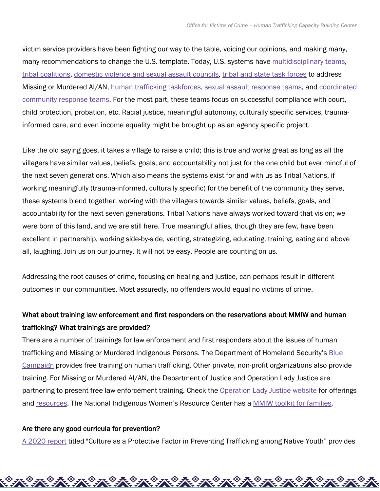victim service providers have been fighting our way to the table, voicing our opinions, and making many, many recommendations to change the U.S. template. Today, U.S. systems have **multidisciplinary teams**, [tribal coalitions,](https://operationladyjustice.usdoj.gov/sites/g/files/xyckuh281/files/media/document/oljtribalcoalitionsfactsheet.pdf) [domestic violence and sexual assault councils,](https://www.niwrc.org/tribal-coalitions) [tribal and state task forces](https://operationladyjustice.usdoj.gov/sites/g/files/xyckuh281/files/media/document/oljtaskforcesfactsheet.pdf) to address Missing or Murdered AI/AN, [human trafficking taskforces,](https://ovc.ojp.gov/program/human-trafficking/map) [sexual assault response teams,](https://ovc.ojp.gov/library/publications/sexual-assault-response-team-sart-toolkit) and [coordinated](https://www.ovcttac.gov/saneguide/multidisciplinary-response-and-the-community/collaboration-with-community-partners/)  [community response teams.](https://www.ovcttac.gov/saneguide/multidisciplinary-response-and-the-community/collaboration-with-community-partners/) For the most part, these teams focus on successful compliance with court, child protection, probation, etc. Racial justice, meaningful autonomy, culturally specific services, traumainformed care, and even income equality might be brought up as an agency specific project.

Like the old saying goes, it takes a village to raise a child; this is true and works great as long as all the villagers have similar values, beliefs, goals, and accountability not just for the one child but ever mindful of the next seven generations. Which also means the systems exist for and with us as Tribal Nations, if working meaningfully (trauma-informed, culturally specific) for the benefit of the community they serve, these systems blend together, working with the villagers towards similar values, beliefs, goals, and accountability for the next seven generations. Tribal Nations have always worked toward that vision; we were born of this land, and we are still here. True meaningful allies, though they are few, have been excellent in partnership, working side-by-side, venting, strategizing, educating, training, eating and above all, laughing. Join us on our journey. It will not be easy. People are counting on us.

Addressing the root causes of crime, focusing on healing and justice, can perhaps result in different outcomes in our communities. Most assuredly, no offenders would equal no victims of crime.

## What about training law enforcement and first responders on the reservations about MMIW and human trafficking? What trainings are provided?

There are a number of trainings for law enforcement and first responders about the issues of human trafficking and Missing or Murdered Indigenous Persons. The Department of Homeland Security's Blue [Campaign](https://www.dhs.gov/blue-campaign) provides free training on human trafficking. Other private, non-profit organizations also provide training. For Missing or Murdered AI/AN, the Department of Justice and Operation Lady Justice are partnering to present free law enforcement training. Check the [Operation Lady Justice website](https://operationladyjustice.usdoj.gov/) for offerings and [resources.](https://operationladyjustice.usdoj.gov/fact-sheetsresources) The National Indigenous Women's Resource Center has a [MMIW toolkit for families.](https://www.niwrc.org/mmiwtoolkit)

#### Are there any good curricula for prevention?

[A 2020 report](https://htcbc.ovc.ojp.gov/library/publications/culture-protective-factor-preventing-trafficking-among-native-youth-tribal) titled "Culture as a Protective Factor in Preventing Trafficking among Native Youth" provides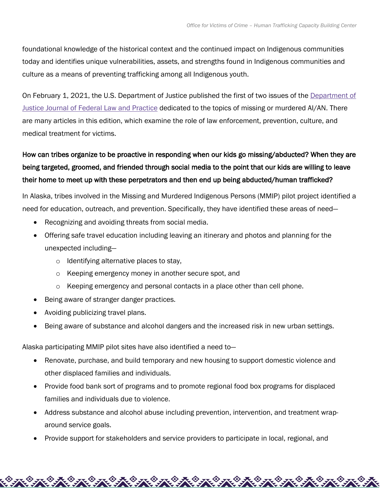foundational knowledge of the historical context and the continued impact on Indigenous communities today and identifies unique vulnerabilities, assets, and strengths found in Indigenous communities and culture as a means of preventing trafficking among all Indigenous youth.

On February 1, 2021, the U.S. Department of Justice published the first of two issues of the [Department of](https://www.justice.gov/usao/page/file/1362691/download)  [Justice Journal of Federal Law and Practice](https://www.justice.gov/usao/page/file/1362691/download) dedicated to the topics of missing or murdered AI/AN. There are many articles in this edition, which examine the role of law enforcement, prevention, culture, and medical treatment for victims.

# How can tribes organize to be proactive in responding when our kids go missing/abducted? When they are being targeted, groomed, and friended through social media to the point that our kids are willing to leave their home to meet up with these perpetrators and then end up being abducted/human trafficked?

In Alaska, tribes involved in the Missing and Murdered Indigenous Persons (MMIP) pilot project identified a need for education, outreach, and prevention. Specifically, they have identified these areas of need—

- Recognizing and avoiding threats from social media.
- Offering safe travel education including leaving an itinerary and photos and planning for the unexpected including
	- o Identifying alternative places to stay,
	- o Keeping emergency money in another secure spot, and
	- o Keeping emergency and personal contacts in a place other than cell phone.
- Being aware of stranger danger practices.
- Avoiding publicizing travel plans.
- Being aware of substance and alcohol dangers and the increased risk in new urban settings.

Alaska participating MMIP pilot sites have also identified a need to—

- Renovate, purchase, and build temporary and new housing to support domestic violence and other displaced families and individuals.
- Provide food bank sort of programs and to promote regional food box programs for displaced families and individuals due to violence.
- Address substance and alcohol abuse including prevention, intervention, and treatment wraparound service goals.
- Provide support for stakeholders and service providers to participate in local, regional, and